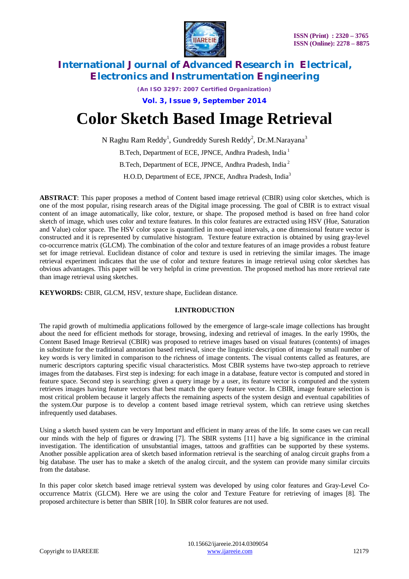

*(An ISO 3297: 2007 Certified Organization)*

**Vol. 3, Issue 9, September 2014**

# **Color Sketch Based Image Retrieval**

N Raghu Ram Reddy<sup>1</sup>, Gundreddy Suresh Reddy<sup>2</sup>, Dr.M.Narayana<sup>3</sup>

B.Tech, Department of ECE, JPNCE, Andhra Pradesh, India<sup>1</sup>

B.Tech, Department of ECE, JPNCE, Andhra Pradesh, India<sup>2</sup>

H.O.D, Department of ECE, JPNCE, Andhra Pradesh, India<sup>3</sup>

**ABSTRACT**: This paper proposes a method of Content based image retrieval (CBIR) using color sketches, which is one of the most popular, rising research areas of the Digital image processing. The goal of CBIR is to extract visual content of an image automatically, like color, texture, or shape. The proposed method is based on free hand color sketch of image, which uses color and texture features. In this color features are extracted using HSV (Hue, Saturation and Value) color space. The HSV color space is quantified in non-equal intervals, a one dimensional feature vector is constructed and it is represented by cumulative histogram. Texture feature extraction is obtained by using gray-level co-occurrence matrix (GLCM). The combination of the color and texture features of an image provides a robust feature set for image retrieval. Euclidean distance of color and texture is used in retrieving the similar images. The image retrieval experiment indicates that the use of color and texture features in image retrieval using color sketches has obvious advantages. This paper will be very helpful in crime prevention. The proposed method has more retrieval rate than image retrieval using sketches.

**KEYWORDS:** CBIR, GLCM, HSV, texture shape, Euclidean distance*.*

### **I.INTRODUCTION**

The rapid growth of multimedia applications followed by the emergence of large-scale image collections has brought about the need for efficient methods for storage, browsing, indexing and retrieval of images. In the early 1990s, the Content Based Image Retrieval (CBIR) was proposed to retrieve images based on visual features (contents) of images in substitute for the traditional annotation based retrieval, since the linguistic description of image by small number of key words is very limited in comparison to the richness of image contents. The visual contents called as features, are numeric descriptors capturing specific visual characteristics. Most CBIR systems have two-step approach to retrieve images from the databases. First step is indexing: for each image in a database, feature vector is computed and stored in feature space. Second step is searching: given a query image by a user, its feature vector is computed and the system retrieves images having feature vectors that best match the query feature vector. In CBIR, image feature selection is most critical problem because it largely affects the remaining aspects of the system design and eventual capabilities of the system.Our purpose is to develop a content based image retrieval system, which can retrieve using sketches infrequently used databases.

Using a sketch based system can be very Important and efficient in many areas of the life. In some cases we can recall our minds with the help of figures or drawing [7]. The SBIR systems [11] have a big significance in the criminal investigation. The identification of unsubstantial images, tattoos and graffities can be supported by these systems. Another possible application area of sketch based information retrieval is the searching of analog circuit graphs from a big database. The user has to make a sketch of the analog circuit, and the system can provide many similar circuits from the database.

In this paper color sketch based image retrieval system was developed by using color features and Gray-Level Cooccurrence Matrix (GLCM). Here we are using the color and Texture Feature for retrieving of images [8]. The proposed architecture is better than SBIR [10]. In SBIR color features are not used.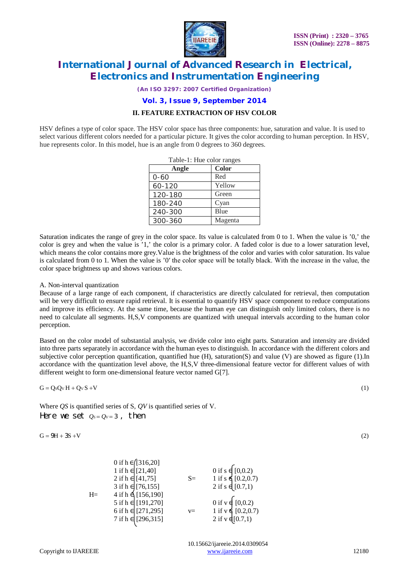

*(An ISO 3297: 2007 Certified Organization)*

#### **Vol. 3, Issue 9, September 2014**

#### **II. FEATURE EXTRACTION OF HSV COLOR**

HSV defines a type of color space. The HSV color space has three components: hue, saturation and value. It is used to select various different colors needed for a particular picture. It gives the color according to human perception. In HSV, hue represents color. In this model, hue is an angle from 0 degrees to 360 degrees.

| Table-1: Hue color ranges |         |  |  |  |
|---------------------------|---------|--|--|--|
| Angle                     | Color   |  |  |  |
| $0 - 60$                  | Red     |  |  |  |
| 60-120                    | Yellow  |  |  |  |
| 120-180                   | Green   |  |  |  |
| 180-240                   | Cyan    |  |  |  |
| 240-300                   | Blue    |  |  |  |
| 300-360                   | Magenta |  |  |  |

Saturation indicates the range of grey in the color space. Its value is calculated from 0 to 1. When the value is '0,' the color is grey and when the value is '1,' the color is a primary color. A faded color is due to a lower saturation level, which means the color contains more grey.Value is the brightness of the color and varies with color saturation. Its value is calculated from 0 to 1. When the value is '0′ the color space will be totally black. With the increase in the value, the color space brightness up and shows various colors.

#### A. Non-interval quantization

Because of a large range of each component, if characteristics are directly calculated for retrieval, then computation will be very difficult to ensure rapid retrieval. It is essential to quantify HSV space component to reduce computations and improve its efficiency. At the same time, because the human eye can distinguish only limited colors, there is no need to calculate all segments. H,S,V components are quantized with unequal intervals according to the human color perception.

Based on the color model of substantial analysis, we divide color into eight parts. Saturation and intensity are divided into three parts separately in accordance with the human eyes to distinguish. In accordance with the different colors and subjective color perception quantification, quantified hue (H), saturation(S) and value (V) are showed as figure (1).In accordance with the quantization level above, the H,S,V three-dimensional feature vector for different values of with different weight to form one-dimensional feature vector named G[7].

 $G = OsOvH + OvS + V$  (1)

Where *QS* is quantified series of S, *QV* is quantified series of V. Here we set  $Q_s = Q_v = 3$ , then

 $G = 9H + 3S + V$  (2)

|      | 0 if $h \in [316, 20]$<br>$1$ if $h \in [21, 40]$<br>$2$ if $h \in [41, 75]$ | $S=$  | $\begin{array}{c} 0 \text{ if } s \in [0,0.2) \\ 1 \text{ if } s \in [0.2,0.7) \\ 2 \text{ if } s \in [0.7,1) \end{array}$          |
|------|------------------------------------------------------------------------------|-------|-------------------------------------------------------------------------------------------------------------------------------------|
| $H=$ | 3 if h $\epsilon$ [76,155]<br>4 if h $\epsilon$ [156,190]                    |       |                                                                                                                                     |
|      |                                                                              |       |                                                                                                                                     |
|      | 5 if h ∈ [191,270]                                                           |       |                                                                                                                                     |
|      | 6 if $h \in [271, 295]$                                                      | $V =$ |                                                                                                                                     |
|      | 7 if h ∈ [296,315]                                                           |       | $\begin{array}{c} 0 \text{ if } v \notin [0,0.2) \\ 1 \text{ if } v \notin [0.2,0.7) \\ 2 \text{ if } v \notin [0.7,1) \end{array}$ |
|      |                                                                              |       |                                                                                                                                     |

 10.15662/ijareeie.2014.0309054 Copyright to IJAREEIE www.ijareeie.com 12180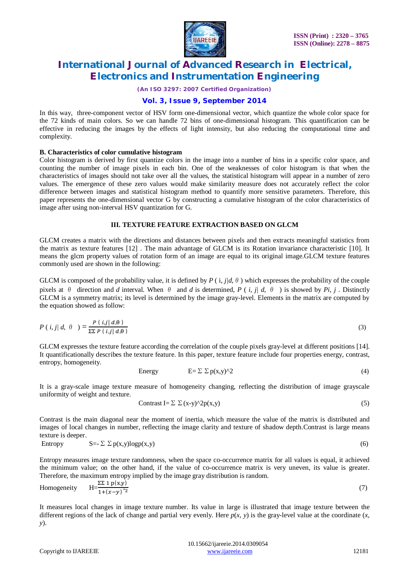

*(An ISO 3297: 2007 Certified Organization)*

### **Vol. 3, Issue 9, September 2014**

In this way, three-component vector of HSV form one-dimensional vector, which quantize the whole color space for the 72 kinds of main colors. So we can handle 72 bins of one-dimensional histogram. This quantification can be effective in reducing the images by the effects of light intensity, but also reducing the computational time and complexity.

#### **B. Characteristics of color cumulative histogram**

Color histogram is derived by first quantize colors in the image into a number of bins in a specific color space, and counting the number of image pixels in each bin. One of the weaknesses of color histogram is that when the characteristics of images should not take over all the values, the statistical histogram will appear in a number of zero values. The emergence of these zero values would make similarity measure does not accurately reflect the color difference between images and statistical histogram method to quantify more sensitive parameters. Therefore, this paper represents the one-dimensional vector G by constructing a cumulative histogram of the color characteristics of image after using non-interval HSV quantization for G.

#### **III. TEXTURE FEATURE EXTRACTION BASED ON GLCM**

GLCM creates a matrix with the directions and distances between pixels and then extracts meaningful statistics from the matrix as texture features [12] . The main advantage of GLCM is its Rotation invariance characteristic [10]. It means the glcm property values of rotation form of an image are equal to its original image.GLCM texture features commonly used are shown in the following:

GLCM is composed of the probability value, it is defined by  $P(\mathbf{i}, j/d, \theta)$  which expresses the probability of the couple pixels at  $\theta$  direction and *d* interval. When  $\theta$  and *d* is determined, *P* (*i*, *j*/ *d*,  $\theta$ ) is showed by *Pi*, *j*. Distinctly GLCM is a symmetry matrix; its level is determined by the image gray-level. Elements in the matrix are computed by the equation showed as follow:

$$
P(i,j/d, \theta) = \frac{P(i,j|d,\theta)}{\Sigma \Sigma P(i,j|d,\theta)}
$$
(3)

GLCM expresses the texture feature according the correlation of the couple pixels gray-level at different positions [14]. It quantificationally describes the texture feature. In this paper, texture feature include four properties energy, contrast, entropy, homogeneity.

Energy 
$$
E = \sum \sum p(x,y)^2 \tag{4}
$$

It is a gray-scale image texture measure of homogeneity changing, reflecting the distribution of image grayscale uniformity of weight and texture.

$$
Contrast I = \sum \sum (x-y)^{\wedge} 2p(x,y)
$$
\n(5)

Contrast is the main diagonal near the moment of inertia, which measure the value of the matrix is distributed and images of local changes in number, reflecting the image clarity and texture of shadow depth.Contrast is large means texture is deeper.

Entropy 
$$
S = \sum \sum p(x,y) \log p(x,y)
$$
 (6)

Entropy measures image texture randomness, when the space co-occurrence matrix for all values is equal, it achieved the minimum value; on the other hand, if the value of co-occurrence matrix is very uneven, its value is greater. Therefore, the maximum entropy implied by the image gray distribution is random.

Homogeneity  $\Sigma\Sigma$  1 p(x,y)  $1+(x-y)^{2}$  $(7)$ 

It measures local changes in image texture number. Its value in large is illustrated that image texture between the different regions of the lack of change and partial very evenly. Here  $p(x, y)$  is the gray-level value at the coordinate  $(x, y)$ *y*).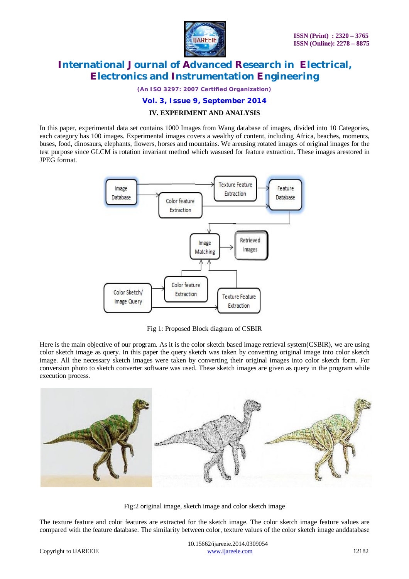

*(An ISO 3297: 2007 Certified Organization)*

#### **Vol. 3, Issue 9, September 2014**

#### **IV. EXPERIMENT AND ANALYSIS**

In this paper, experimental data set contains 1000 Images from Wang database of images, divided into 10 Categories, each category has 100 images. Experimental images covers a wealthy of content, including Africa, beaches, moments, buses, food, dinosaurs, elephants, flowers, horses and mountains. We areusing rotated images of original images for the test purpose since GLCM is rotation invariant method which wasused for feature extraction. These images arestored in JPEG format.



Fig 1: Proposed Block diagram of CSBIR

Here is the main objective of our program. As it is the color sketch based image retrieval system(CSBIR), we are using color sketch image as query. In this paper the query sketch was taken by converting original image into color sketch image. All the necessary sketch images were taken by converting their original images into color sketch form. For conversion photo to sketch converter software was used. These sketch images are given as query in the program while execution process.



Fig:2 original image, sketch image and color sketch image

The texture feature and color features are extracted for the sketch image. The color sketch image feature values are compared with the feature database. The similarity between color, texture values of the color sketch image anddatabase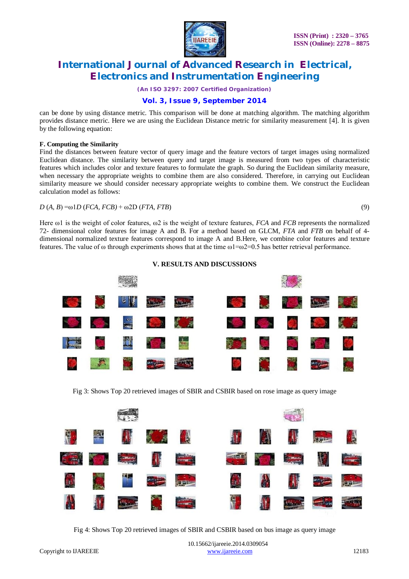

*(An ISO 3297: 2007 Certified Organization)*

### **Vol. 3, Issue 9, September 2014**

can be done by using distance metric. This comparison will be done at matching algorithm. The matching algorithm provides distance metric. Here we are using the Euclidean Distance metric for similarity measurement [4]. It is given by the following equation:

#### **F. Computing the Similarity**

Find the distances between feature vector of query image and the feature vectors of target images using normalized Euclidean distance. The similarity between query and target image is measured from two types of characteristic features which includes color and texture features to formulate the graph. So during the Euclidean similarity measure, when necessary the appropriate weights to combine them are also considered. Therefore, in carrying out Euclidean similarity measure we should consider necessary appropriate weights to combine them. We construct the Euclidean calculation model as follows:

#### $D(A, B) = \omega 1 D (FCA, FCB) + \omega 2 D (FTA, FTB)$  (9)

Here ω1 is the weight of color features, ω2 is the weight of texture features, *FCA* and *FCB* represents the normalized 72- dimensional color features for image A and B. For a method based on GLCM, *FTA* and *FTB* on behalf of 4 dimensional normalized texture features correspond to image A and B.Here, we combine color features and texture features. The value of  $\omega$  through experiments shows that at the time  $\omega$ 1= $\omega$ 2=0.5 has better retrieval performance.



**V. RESULTS AND DISCUSSIONS**

Fig 3: Shows Top 20 retrieved images of SBIR and CSBIR based on rose image as query image

|   | <b>EXTREMELTER</b>                |                                                                                                                       |                            |                |           |                                |             |
|---|-----------------------------------|-----------------------------------------------------------------------------------------------------------------------|----------------------------|----------------|-----------|--------------------------------|-------------|
| 僧 | 第 前 《 》                           |                                                                                                                       | $\{ \mathbf{M} \}$         | <b>Address</b> | <b>AV</b> |                                |             |
|   | <b>SHE SOL REAL AND REAL</b>      |                                                                                                                       |                            |                |           | <b>THE SOL EARLY THE STATE</b> |             |
|   | <b>THE REAL PROPERTY AND REAL</b> |                                                                                                                       | $\mathbb{H}^{\mathcal{A}}$ |                |           | <b>A</b> A ce E                |             |
| A |                                   | <b>The Contract of the Contract of the Contract of the Contract of the Contract of the Contract of the Contract o</b> | <b>相</b> 。                 | H              |           | مناك عنفا                      | <u>न पु</u> |

Fig 4: Shows Top 20 retrieved images of SBIR and CSBIR based on bus image as query image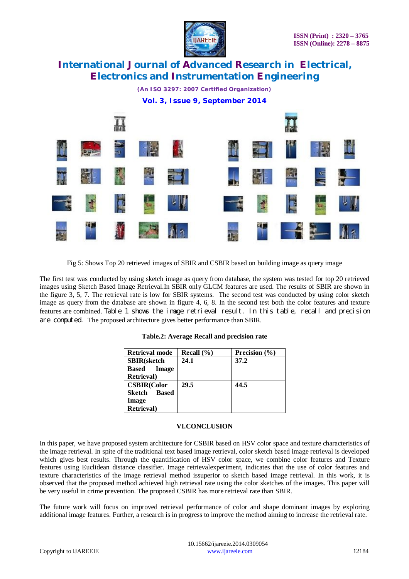

*(An ISO 3297: 2007 Certified Organization)* **Vol. 3, Issue 9, September 2014**



Fig 5: Shows Top 20 retrieved images of SBIR and CSBIR based on building image as query image

The first test was conducted by using sketch image as query from database, the system was tested for top 20 retrieved images using Sketch Based Image Retrieval.In SBIR only GLCM features are used. The results of SBIR are shown in the figure 3, 5, 7. The retrieval rate is low for SBIR systems. The second test was conducted by using color sketch image as query from the database are shown in figure 4, 6, 8. In the second test both the color features and texture features are combined. Table 1 shows the image retrieval result. In this table, recall and precision are computed. The proposed architecture gives better performance than SBIR.

| Retrieval mode         | Recall $(\% )$ | Precision $(\% )$ |
|------------------------|----------------|-------------------|
| <b>SBIR</b> (sketch    | 24.1           | 37.2              |
| Image<br><b>Based</b>  |                |                   |
| <b>Retrieval</b> )     |                |                   |
| <b>CSBIR(Color</b>     | 29.5           | 44.5              |
| <b>Based</b><br>Sketch |                |                   |
| Image                  |                |                   |
| <b>Retrieval</b> )     |                |                   |

#### **Table.2: Average Recall and precision rate**

#### **VI.CONCLUSION**

In this paper, we have proposed system architecture for CSBIR based on HSV color space and texture characteristics of the image retrieval. In spite of the traditional text based image retrieval, color sketch based image retrieval is developed which gives best results. Through the quantification of HSV color space, we combine color features and Texture features using Euclidean distance classifier. Image retrievalexperiment, indicates that the use of color features and texture characteristics of the image retrieval method issuperior to sketch based image retrieval. In this work, it is observed that the proposed method achieved high retrieval rate using the color sketches of the images. This paper will be very useful in crime prevention. The proposed CSBIR has more retrieval rate than SBIR.

The future work will focus on improved retrieval performance of color and shape dominant images by exploring additional image features. Further, a research is in progress to improve the method aiming to increase the retrieval rate.